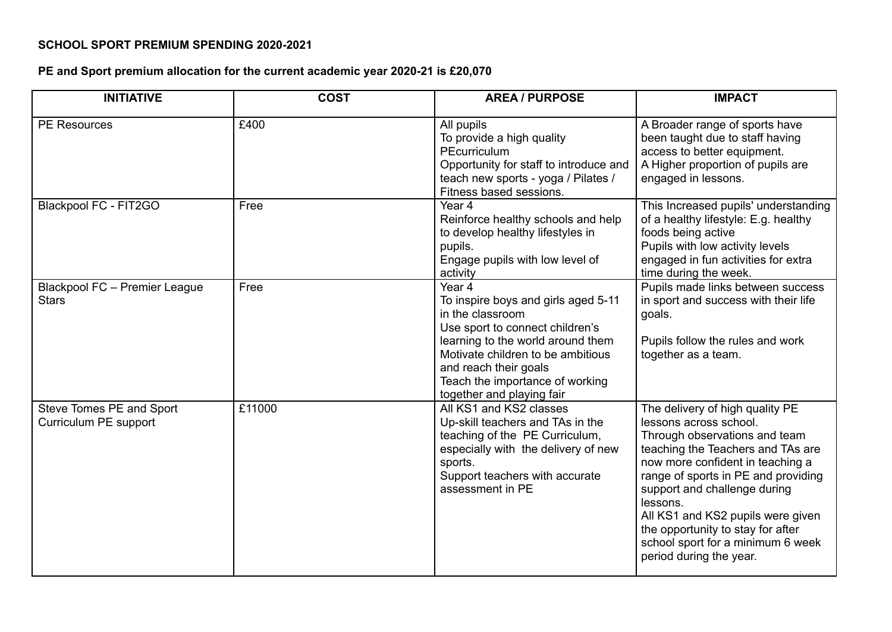## **SCHOOL SPORT PREMIUM SPENDING 2020-2021**

## **PE and Sport premium allocation for the current academic year 2020-21 is £20,070**

| <b>INITIATIVE</b>                                 | <b>COST</b> | <b>AREA / PURPOSE</b>                                                                                                                                                                                                                                                              | <b>IMPACT</b>                                                                                                                                                                                                                                                                                                                                                                                    |
|---------------------------------------------------|-------------|------------------------------------------------------------------------------------------------------------------------------------------------------------------------------------------------------------------------------------------------------------------------------------|--------------------------------------------------------------------------------------------------------------------------------------------------------------------------------------------------------------------------------------------------------------------------------------------------------------------------------------------------------------------------------------------------|
| <b>PE Resources</b>                               | £400        | All pupils<br>To provide a high quality<br>PEcurriculum<br>Opportunity for staff to introduce and<br>teach new sports - yoga / Pilates /<br>Fitness based sessions.                                                                                                                | A Broader range of sports have<br>been taught due to staff having<br>access to better equipment.<br>A Higher proportion of pupils are<br>engaged in lessons.                                                                                                                                                                                                                                     |
| Blackpool FC - FIT2GO                             | Free        | Year 4<br>Reinforce healthy schools and help<br>to develop healthy lifestyles in<br>pupils.<br>Engage pupils with low level of<br>activity                                                                                                                                         | This Increased pupils' understanding<br>of a healthy lifestyle: E.g. healthy<br>foods being active<br>Pupils with low activity levels<br>engaged in fun activities for extra<br>time during the week.                                                                                                                                                                                            |
| Blackpool FC - Premier League<br><b>Stars</b>     | Free        | Year <sub>4</sub><br>To inspire boys and girls aged 5-11<br>in the classroom<br>Use sport to connect children's<br>learning to the world around them<br>Motivate children to be ambitious<br>and reach their goals<br>Teach the importance of working<br>together and playing fair | Pupils made links between success<br>in sport and success with their life<br>goals.<br>Pupils follow the rules and work<br>together as a team.                                                                                                                                                                                                                                                   |
| Steve Tomes PE and Sport<br>Curriculum PE support | £11000      | All KS1 and KS2 classes<br>Up-skill teachers and TAs in the<br>teaching of the PE Curriculum,<br>especially with the delivery of new<br>sports.<br>Support teachers with accurate<br>assessment in PE                                                                              | The delivery of high quality PE<br>lessons across school.<br>Through observations and team<br>teaching the Teachers and TAs are<br>now more confident in teaching a<br>range of sports in PE and providing<br>support and challenge during<br>lessons.<br>All KS1 and KS2 pupils were given<br>the opportunity to stay for after<br>school sport for a minimum 6 week<br>period during the year. |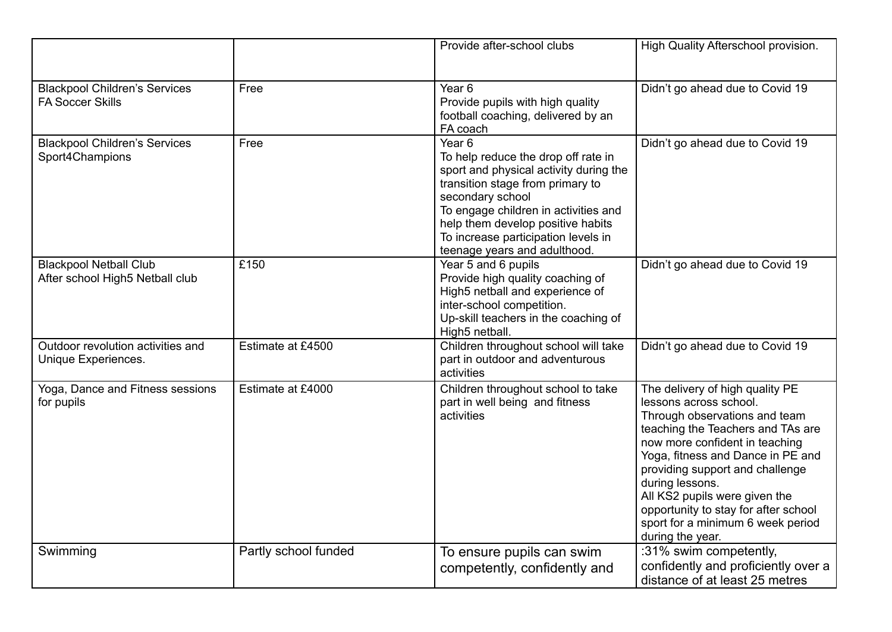|                                                                  |                      | Provide after-school clubs                                                                                                                                                                                                                                                                                     | High Quality Afterschool provision.                                                                                                                                                                                                                                                                                                                                                            |
|------------------------------------------------------------------|----------------------|----------------------------------------------------------------------------------------------------------------------------------------------------------------------------------------------------------------------------------------------------------------------------------------------------------------|------------------------------------------------------------------------------------------------------------------------------------------------------------------------------------------------------------------------------------------------------------------------------------------------------------------------------------------------------------------------------------------------|
| <b>Blackpool Children's Services</b><br><b>FA Soccer Skills</b>  | Free                 | Year <sub>6</sub><br>Provide pupils with high quality<br>football coaching, delivered by an<br>FA coach                                                                                                                                                                                                        | Didn't go ahead due to Covid 19                                                                                                                                                                                                                                                                                                                                                                |
| <b>Blackpool Children's Services</b><br>Sport4Champions          | Free                 | Year <sub>6</sub><br>To help reduce the drop off rate in<br>sport and physical activity during the<br>transition stage from primary to<br>secondary school<br>To engage children in activities and<br>help them develop positive habits<br>To increase participation levels in<br>teenage years and adulthood. | Didn't go ahead due to Covid 19                                                                                                                                                                                                                                                                                                                                                                |
| <b>Blackpool Netball Club</b><br>After school High5 Netball club | £150                 | Year 5 and 6 pupils<br>Provide high quality coaching of<br>High5 netball and experience of<br>inter-school competition.<br>Up-skill teachers in the coaching of<br>High5 netball.                                                                                                                              | Didn't go ahead due to Covid 19                                                                                                                                                                                                                                                                                                                                                                |
| Outdoor revolution activities and<br>Unique Experiences.         | Estimate at £4500    | Children throughout school will take<br>part in outdoor and adventurous<br>activities                                                                                                                                                                                                                          | Didn't go ahead due to Covid 19                                                                                                                                                                                                                                                                                                                                                                |
| Yoga, Dance and Fitness sessions<br>for pupils                   | Estimate at £4000    | Children throughout school to take<br>part in well being and fitness<br>activities                                                                                                                                                                                                                             | The delivery of high quality PE<br>lessons across school.<br>Through observations and team<br>teaching the Teachers and TAs are<br>now more confident in teaching<br>Yoga, fitness and Dance in PE and<br>providing support and challenge<br>during lessons.<br>All KS2 pupils were given the<br>opportunity to stay for after school<br>sport for a minimum 6 week period<br>during the year. |
| Swimming                                                         | Partly school funded | To ensure pupils can swim<br>competently, confidently and                                                                                                                                                                                                                                                      | :31% swim competently,<br>confidently and proficiently over a<br>distance of at least 25 metres                                                                                                                                                                                                                                                                                                |